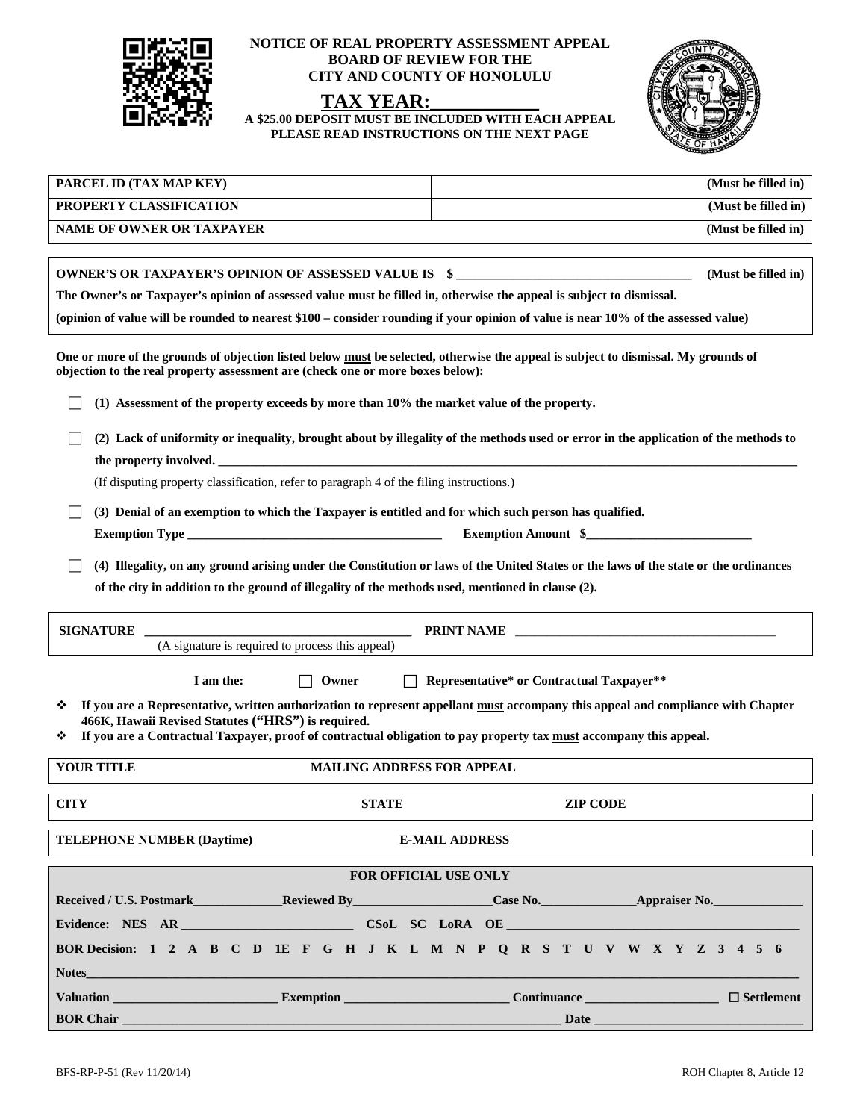

## **NOTICE OF REAL PROPERTY ASSESSMENT APPEAL BOARD OF REVIEW FOR THE CITY AND COUNTY OF HONOLULU**



**A \$25.00 DEPOSIT MUST BE INCLUDED WITH EACH APPEAL PLEASE READ INSTRUCTIONS ON THE NEXT PAGE** 



| PARCEL ID (TAX MAP KEY)                                                                                                                                                                                                                                                                                                | (Must be filled in) |  |
|------------------------------------------------------------------------------------------------------------------------------------------------------------------------------------------------------------------------------------------------------------------------------------------------------------------------|---------------------|--|
| PROPERTY CLASSIFICATION                                                                                                                                                                                                                                                                                                | (Must be filled in) |  |
| <b>NAME OF OWNER OR TAXPAYER</b>                                                                                                                                                                                                                                                                                       | (Must be filled in) |  |
|                                                                                                                                                                                                                                                                                                                        |                     |  |
| OWNER'S OR TAXPAYER'S OPINION OF ASSESSED VALUE IS \$<br>(Must be filled in)                                                                                                                                                                                                                                           |                     |  |
| The Owner's or Taxpayer's opinion of assessed value must be filled in, otherwise the appeal is subject to dismissal.                                                                                                                                                                                                   |                     |  |
| (opinion of value will be rounded to nearest \$100 – consider rounding if your opinion of value is near 10% of the assessed value)                                                                                                                                                                                     |                     |  |
| One or more of the grounds of objection listed below must be selected, otherwise the appeal is subject to dismissal. My grounds of<br>objection to the real property assessment are (check one or more boxes below):<br>(1) Assessment of the property exceeds by more than 10% the market value of the property.      |                     |  |
| (2) Lack of uniformity or inequality, brought about by illegality of the methods used or error in the application of the methods to                                                                                                                                                                                    |                     |  |
| the property involved.                                                                                                                                                                                                                                                                                                 |                     |  |
| (If disputing property classification, refer to paragraph 4 of the filing instructions.)                                                                                                                                                                                                                               |                     |  |
| (3) Denial of an exemption to which the Taxpayer is entitled and for which such person has qualified.                                                                                                                                                                                                                  |                     |  |
| Exemption Amount \$                                                                                                                                                                                                                                                                                                    |                     |  |
| (4) Illegality, on any ground arising under the Constitution or laws of the United States or the laws of the state or the ordinances<br>of the city in addition to the ground of illegality of the methods used, mentioned in clause (2).                                                                              |                     |  |
| <b>SIGNATURE</b><br>(A signature is required to process this appeal)                                                                                                                                                                                                                                                   |                     |  |
|                                                                                                                                                                                                                                                                                                                        |                     |  |
| $\Box$<br>Representative* or Contractual Taxpayer**<br>I am the:<br>Owner                                                                                                                                                                                                                                              |                     |  |
| If you are a Representative, written authorization to represent appellant must accompany this appeal and compliance with Chapter<br>❖<br>466K, Hawaii Revised Statutes ("HRS") is required.<br>If you are a Contractual Taxpayer, proof of contractual obligation to pay property tax must accompany this appeal.<br>❖ |                     |  |
| <b>YOUR TITLE</b><br><b>MAILING ADDRESS FOR APPEAL</b>                                                                                                                                                                                                                                                                 |                     |  |
| <b>CITY</b><br><b>STATE</b>                                                                                                                                                                                                                                                                                            | <b>ZIP CODE</b>     |  |
| <b>E-MAIL ADDRESS</b><br><b>TELEPHONE NUMBER (Daytime)</b>                                                                                                                                                                                                                                                             |                     |  |
| <b>FOR OFFICIAL USE ONLY</b>                                                                                                                                                                                                                                                                                           |                     |  |
| Received / U.S. Postmark Reviewed By Case No. Appraiser No.                                                                                                                                                                                                                                                            |                     |  |
|                                                                                                                                                                                                                                                                                                                        |                     |  |
| BOR Decision: 1 2 A B C D 1E F G H J K L M N P Q R S T U V W X Y Z 3 4 5 6                                                                                                                                                                                                                                             |                     |  |
| Notes and the second second second second second second second second second second second second second second second second second second second second second second second second second second second second second secon                                                                                         |                     |  |
| Valuation Continuance Continuance Continuance Continuance Continuance Continuance Continuance Continuance Continuance Continuance Continuance Continuance Continuance Continuance Continuance Continuance Continuance Continua                                                                                         | $\Box$ Settlement   |  |
| <b>BOR Chair</b><br><u> 1989 - Johann John Harry, mars ar yw y cyfeiriad y gynydd y gynydd y gynydd y gynydd y gynydd y gynydd y gyn</u>                                                                                                                                                                               | Date <b>Date</b>    |  |